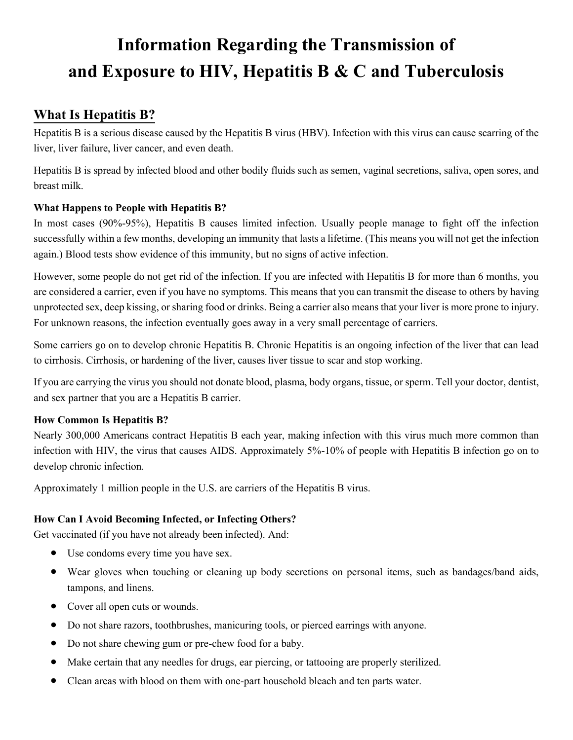# **Information Regarding the Transmission of and Exposure to HIV, Hepatitis B & C and Tuberculosis**

# **What Is Hepatitis B?**

Hepatitis B is a serious disease caused by the Hepatitis B virus (HBV). Infection with this virus can cause scarring of the liver, liver failure, liver cancer, and even death.

Hepatitis B is spread by infected blood and other bodily fluids such as semen, vaginal secretions, saliva, open sores, and breast milk.

# **What Happens to People with Hepatitis B?**

In most cases (90%-95%), Hepatitis B causes limited infection. Usually people manage to fight off the infection successfully within a few months, developing an immunity that lasts a lifetime. (This means you will not get the infection again.) Blood tests show evidence of this immunity, but no signs of active infection.

However, some people do not get rid of the infection. If you are infected with Hepatitis B for more than 6 months, you are considered a carrier, even if you have no symptoms. This means that you can transmit the disease to others by having unprotected sex, deep kissing, or sharing food or drinks. Being a carrier also means that your liver is more prone to injury. For unknown reasons, the infection eventually goes away in a very small percentage of carriers.

Some carriers go on to develop chronic Hepatitis B. Chronic Hepatitis is an ongoing infection of the liver that can lead to cirrhosis. Cirrhosis, or hardening of the liver, causes liver tissue to scar and stop working.

If you are carrying the virus you should not donate blood, plasma, body organs, tissue, or sperm. Tell your doctor, dentist, and sex partner that you are a Hepatitis B carrier.

## **How Common Is Hepatitis B?**

Nearly 300,000 Americans contract Hepatitis B each year, making infection with this virus much more common than infection with HIV, the virus that causes AIDS. Approximately 5%-10% of people with Hepatitis B infection go on to develop chronic infection.

Approximately 1 million people in the U.S. are carriers of the Hepatitis B virus.

# **How Can I Avoid Becoming Infected, or Infecting Others?**

Get vaccinated (if you have not already been infected). And:

- Use condoms every time you have sex.
- Wear gloves when touching or cleaning up body secretions on personal items, such as bandages/band aids, tampons, and linens.
- Cover all open cuts or wounds.
- Do not share razors, toothbrushes, manicuring tools, or pierced earrings with anyone.
- Do not share chewing gum or pre-chew food for a baby.
- Make certain that any needles for drugs, ear piercing, or tattooing are properly sterilized.
- Clean areas with blood on them with one-part household bleach and ten parts water.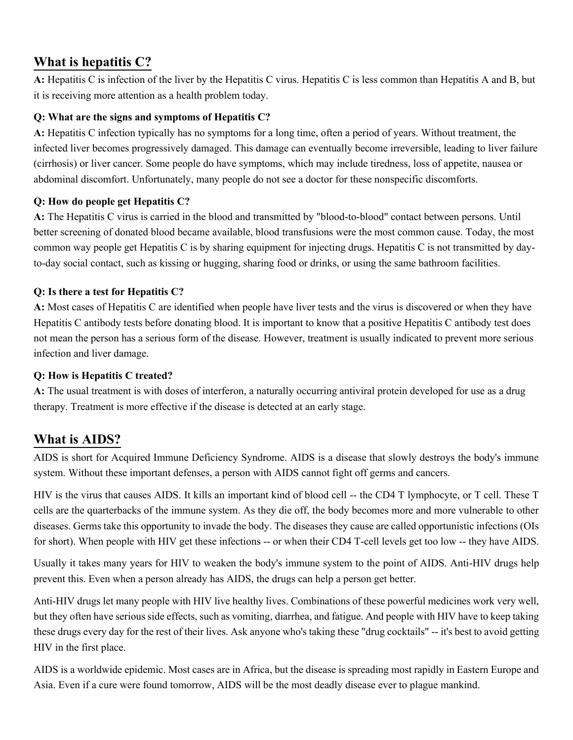# **What is hepatitis C?**

**A:** Hepatitis C is infection of the liver by the Hepatitis C virus. Hepatitis C is less common than Hepatitis A and B, but it is receiving more attention as a health problem today.

# **Q: What are the signs and symptoms of Hepatitis C?**

**A:** Hepatitis C infection typically has no symptoms for a long time, often a period of years. Without treatment, the infected liver becomes progressively damaged. This damage can eventually become irreversible, leading to liver failure (cirrhosis) or liver cancer. Some people do have symptoms, which may include tiredness, loss of appetite, nausea or abdominal discomfort. Unfortunately, many people do not see a doctor for these nonspecific discomforts.

## **Q: How do people get Hepatitis C?**

**A:** The Hepatitis C virus is carried in the blood and transmitted by "blood-to-blood" contact between persons. Until better screening of donated blood became available, blood transfusions were the most common cause. Today, the most common way people get Hepatitis C is by sharing equipment for injecting drugs. Hepatitis C is not transmitted by dayto-day social contact, such as kissing or hugging, sharing food or drinks, or using the same bathroom facilities.

# **Q: Is there a test for Hepatitis C?**

**A:** Most cases of Hepatitis C are identified when people have liver tests and the virus is discovered or when they have Hepatitis C antibody tests before donating blood. It is important to know that a positive Hepatitis C antibody test does not mean the person has a serious form of the disease. However, treatment is usually indicated to prevent more serious infection and liver damage.

# **Q: How is Hepatitis C treated?**

**A:** The usual treatment is with doses of interferon, a naturally occurring antiviral protein developed for use as a drug therapy. Treatment is more effective if the disease is detected at an early stage.

# **What is AIDS?**

AIDS is short for Acquired Immune Deficiency Syndrome. AIDS is a disease that slowly destroys the body's immune system. Without these important defenses, a person with AIDS cannot fight off germs and cancers.

HIV is the virus that causes AIDS. It kills an important kind of blood cell -- the CD4 T lymphocyte, or T cell. These T cells are the quarterbacks of the immune system. As they die off, the body becomes more and more vulnerable to other diseases. Germs take this opportunity to invade the body. The diseases they cause are called opportunistic infections (OIs for short). When people with HIV get these infections -- or when their CD4 T-cell levels get too low -- they have AIDS.

Usually it takes many years for HIV to weaken the body's immune system to the point of AIDS. Anti-HIV drugs help prevent this. Even when a person already has AIDS, the drugs can help a person get better.

Anti-HIV drugs let many people with HIV live healthy lives. Combinations of these powerful medicines work very well, but they often have serious side effects, such as vomiting, diarrhea, and fatigue. And people with HIV have to keep taking these drugs every day for the rest of their lives. Ask anyone who's taking these "drug cocktails" -- it's best to avoid getting HIV in the first place.

AIDS is a worldwide epidemic. Most cases are in Africa, but the disease is spreading most rapidly in Eastern Europe and Asia. Even if a cure were found tomorrow, AIDS will be the most deadly disease ever to plague mankind.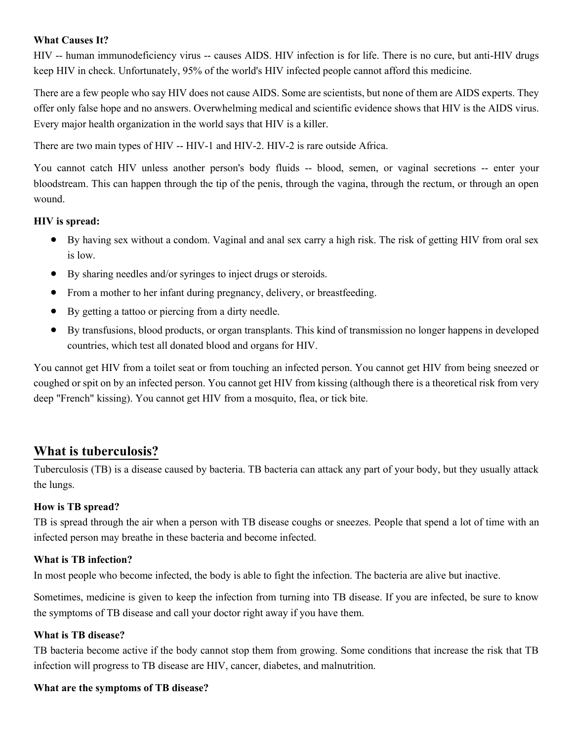#### **What Causes It?**

HIV -- human immunodeficiency virus -- causes AIDS. HIV infection is for life. There is no cure, but anti-HIV drugs keep HIV in check. Unfortunately, 95% of the world's HIV infected people cannot afford this medicine.

There are a few people who say HIV does not cause AIDS. Some are scientists, but none of them are AIDS experts. They offer only false hope and no answers. Overwhelming medical and scientific evidence shows that HIV is the AIDS virus. Every major health organization in the world says that HIV is a killer.

There are two main types of HIV -- HIV-1 and HIV-2. HIV-2 is rare outside Africa.

You cannot catch HIV unless another person's body fluids -- blood, semen, or vaginal secretions -- enter your bloodstream. This can happen through the tip of the penis, through the vagina, through the rectum, or through an open wound.

#### **HIV is spread:**

- By having sex without a condom. Vaginal and anal sex carry a high risk. The risk of getting HIV from oral sex is low.
- By sharing needles and/or syringes to inject drugs or steroids.
- From a mother to her infant during pregnancy, delivery, or breastfeeding.
- By getting a tattoo or piercing from a dirty needle.
- By transfusions, blood products, or organ transplants. This kind of transmission no longer happens in developed countries, which test all donated blood and organs for HIV.

You cannot get HIV from a toilet seat or from touching an infected person. You cannot get HIV from being sneezed or coughed or spit on by an infected person. You cannot get HIV from kissing (although there is a theoretical risk from very deep "French" kissing). You cannot get HIV from a mosquito, flea, or tick bite.

# **What is tuberculosis?**

Tuberculosis (TB) is a disease caused by bacteria. TB bacteria can attack any part of your body, but they usually attack the lungs.

## **How is TB spread?**

TB is spread through the air when a person with TB disease coughs or sneezes. People that spend a lot of time with an infected person may breathe in these bacteria and become infected.

#### **What is TB infection?**

In most people who become infected, the body is able to fight the infection. The bacteria are alive but inactive.

Sometimes, medicine is given to keep the infection from turning into TB disease. If you are infected, be sure to know the symptoms of TB disease and call your doctor right away if you have them.

#### **What is TB disease?**

TB bacteria become active if the body cannot stop them from growing. Some conditions that increase the risk that TB infection will progress to TB disease are HIV, cancer, diabetes, and malnutrition.

#### **What are the symptoms of TB disease?**